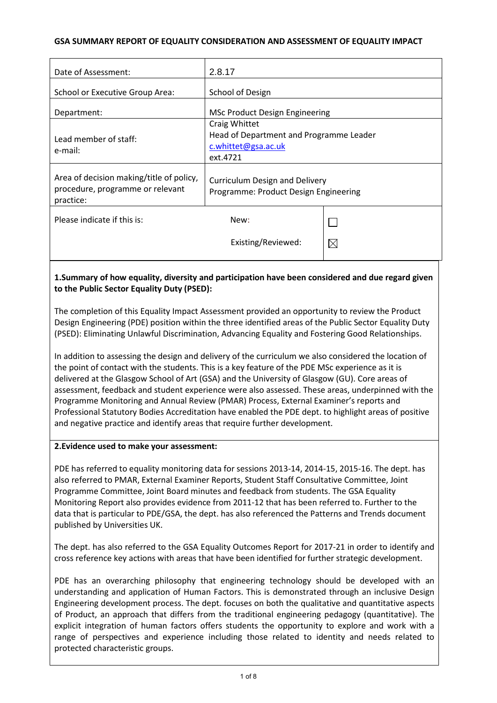### **GSA SUMMARY REPORT OF EQUALITY CONSIDERATION AND ASSESSMENT OF EQUALITY IMPACT**

| 2.8.17                                                                                                                                                                      |             |
|-----------------------------------------------------------------------------------------------------------------------------------------------------------------------------|-------------|
| School of Design                                                                                                                                                            |             |
| <b>MSc Product Design Engineering</b>                                                                                                                                       |             |
| Craig Whittet<br>Head of Department and Programme Leader<br>c.whittet@gsa.ac.uk<br>ext.4721                                                                                 |             |
| Area of decision making/title of policy,<br><b>Curriculum Design and Delivery</b><br>procedure, programme or relevant<br>Programme: Product Design Engineering<br>practice: |             |
| New:                                                                                                                                                                        |             |
| Existing/Reviewed:                                                                                                                                                          | $\boxtimes$ |
|                                                                                                                                                                             |             |

# **1.Summary of how equality, diversity and participation have been considered and due regard given to the Public Sector Equality Duty (PSED):**

The completion of this Equality Impact Assessment provided an opportunity to review the Product Design Engineering (PDE) position within the three identified areas of the Public Sector Equality Duty (PSED): Eliminating Unlawful Discrimination, Advancing Equality and Fostering Good Relationships.

In addition to assessing the design and delivery of the curriculum we also considered the location of the point of contact with the students. This is a key feature of the PDE MSc experience as it is delivered at the Glasgow School of Art (GSA) and the University of Glasgow (GU). Core areas of assessment, feedback and student experience were also assessed. These areas, underpinned with the Programme Monitoring and Annual Review (PMAR) Process, External Examiner's reports and Professional Statutory Bodies Accreditation have enabled the PDE dept. to highlight areas of positive and negative practice and identify areas that require further development.

#### **2.Evidence used to make your assessment:**

PDE has referred to equality monitoring data for sessions 2013-14, 2014-15, 2015-16. The dept. has also referred to PMAR, External Examiner Reports, Student Staff Consultative Committee, Joint Programme Committee, Joint Board minutes and feedback from students. The GSA Equality Monitoring Report also provides evidence from 2011-12 that has been referred to. Further to the data that is particular to PDE/GSA, the dept. has also referenced the Patterns and Trends document published by Universities UK.

The dept. has also referred to the GSA Equality Outcomes Report for 2017-21 in order to identify and cross reference key actions with areas that have been identified for further strategic development.

PDE has an overarching philosophy that engineering technology should be developed with an understanding and application of Human Factors. This is demonstrated through an inclusive Design Engineering development process. The dept. focuses on both the qualitative and quantitative aspects of Product, an approach that differs from the traditional engineering pedagogy (quantitative). The explicit integration of human factors offers students the opportunity to explore and work with a range of perspectives and experience including those related to identity and needs related to protected characteristic groups.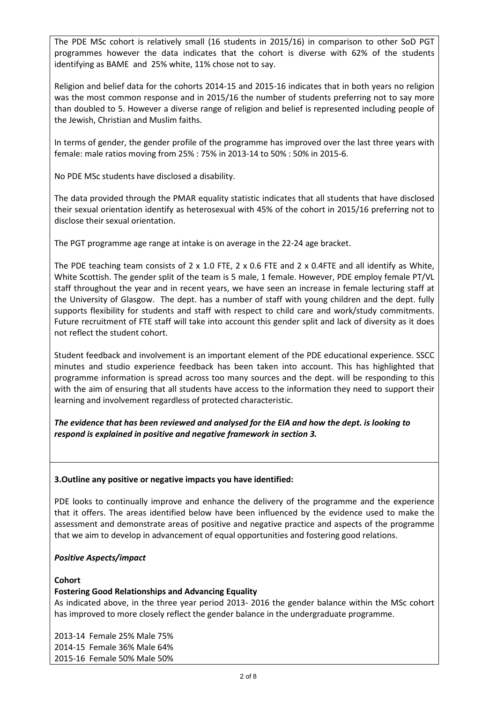The PDE MSc cohort is relatively small (16 students in 2015/16) in comparison to other SoD PGT programmes however the data indicates that the cohort is diverse with 62% of the students identifying as BAME and 25% white, 11% chose not to say.

Religion and belief data for the cohorts 2014-15 and 2015-16 indicates that in both years no religion was the most common response and in 2015/16 the number of students preferring not to say more than doubled to 5. However a diverse range of religion and belief is represented including people of the Jewish, Christian and Muslim faiths.

In terms of gender, the gender profile of the programme has improved over the last three years with female: male ratios moving from 25% : 75% in 2013-14 to 50% : 50% in 2015-6.

No PDE MSc students have disclosed a disability.

The data provided through the PMAR equality statistic indicates that all students that have disclosed their sexual orientation identify as heterosexual with 45% of the cohort in 2015/16 preferring not to disclose their sexual orientation.

The PGT programme age range at intake is on average in the 22-24 age bracket.

The PDE teaching team consists of  $2 \times 1.0$  FTE,  $2 \times 0.6$  FTE and  $2 \times 0.4$  FTE and all identify as White, White Scottish. The gender split of the team is 5 male, 1 female. However, PDE employ female PT/VL staff throughout the year and in recent years, we have seen an increase in female lecturing staff at the University of Glasgow. The dept. has a number of staff with young children and the dept. fully supports flexibility for students and staff with respect to child care and work/study commitments. Future recruitment of FTE staff will take into account this gender split and lack of diversity as it does not reflect the student cohort.

Student feedback and involvement is an important element of the PDE educational experience. SSCC minutes and studio experience feedback has been taken into account. This has highlighted that programme information is spread across too many sources and the dept. will be responding to this with the aim of ensuring that all students have access to the information they need to support their learning and involvement regardless of protected characteristic.

*The evidence that has been reviewed and analysed for the EIA and how the dept. is looking to respond is explained in positive and negative framework in section 3.*

# **3.Outline any positive or negative impacts you have identified:**

PDE looks to continually improve and enhance the delivery of the programme and the experience that it offers. The areas identified below have been influenced by the evidence used to make the assessment and demonstrate areas of positive and negative practice and aspects of the programme that we aim to develop in advancement of equal opportunities and fostering good relations.

# *Positive Aspects/impact*

# **Cohort**

# **Fostering Good Relationships and Advancing Equality**

As indicated above, in the three year period 2013- 2016 the gender balance within the MSc cohort has improved to more closely reflect the gender balance in the undergraduate programme.

2013-14 Female 25% Male 75% 2014-15 Female 36% Male 64% 2015-16 Female 50% Male 50%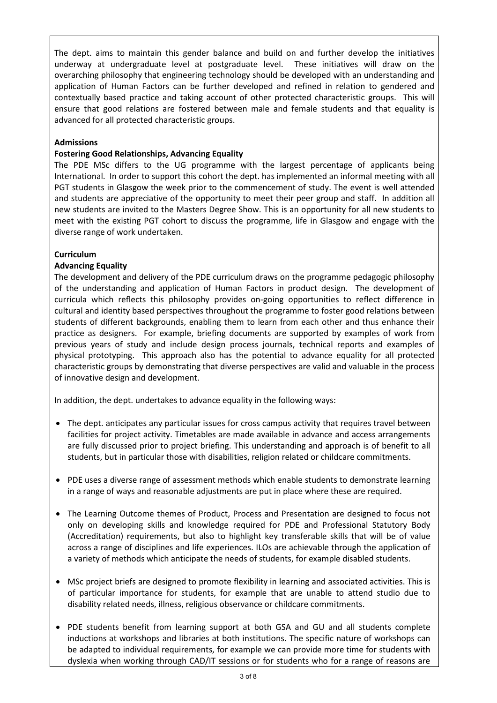The dept. aims to maintain this gender balance and build on and further develop the initiatives underway at undergraduate level at postgraduate level. These initiatives will draw on the overarching philosophy that engineering technology should be developed with an understanding and application of Human Factors can be further developed and refined in relation to gendered and contextually based practice and taking account of other protected characteristic groups. This will ensure that good relations are fostered between male and female students and that equality is advanced for all protected characteristic groups.

### **Admissions**

#### **Fostering Good Relationships, Advancing Equality**

The PDE MSc differs to the UG programme with the largest percentage of applicants being International. In order to support this cohort the dept. has implemented an informal meeting with all PGT students in Glasgow the week prior to the commencement of study. The event is well attended and students are appreciative of the opportunity to meet their peer group and staff. In addition all new students are invited to the Masters Degree Show. This is an opportunity for all new students to meet with the existing PGT cohort to discuss the programme, life in Glasgow and engage with the diverse range of work undertaken.

#### **Curriculum**

### **Advancing Equality**

The development and delivery of the PDE curriculum draws on the programme pedagogic philosophy of the understanding and application of Human Factors in product design. The development of curricula which reflects this philosophy provides on-going opportunities to reflect difference in cultural and identity based perspectives throughout the programme to foster good relations between students of different backgrounds, enabling them to learn from each other and thus enhance their practice as designers. For example, briefing documents are supported by examples of work from previous years of study and include design process journals, technical reports and examples of physical prototyping. This approach also has the potential to advance equality for all protected characteristic groups by demonstrating that diverse perspectives are valid and valuable in the process of innovative design and development.

In addition, the dept. undertakes to advance equality in the following ways:

- The dept. anticipates any particular issues for cross campus activity that requires travel between facilities for project activity. Timetables are made available in advance and access arrangements are fully discussed prior to project briefing. This understanding and approach is of benefit to all students, but in particular those with disabilities, religion related or childcare commitments.
- PDE uses a diverse range of assessment methods which enable students to demonstrate learning in a range of ways and reasonable adjustments are put in place where these are required.
- The Learning Outcome themes of Product, Process and Presentation are designed to focus not only on developing skills and knowledge required for PDE and Professional Statutory Body (Accreditation) requirements, but also to highlight key transferable skills that will be of value across a range of disciplines and life experiences. ILOs are achievable through the application of a variety of methods which anticipate the needs of students, for example disabled students.
- MSc project briefs are designed to promote flexibility in learning and associated activities. This is of particular importance for students, for example that are unable to attend studio due to disability related needs, illness, religious observance or childcare commitments.
- PDE students benefit from learning support at both GSA and GU and all students complete inductions at workshops and libraries at both institutions. The specific nature of workshops can be adapted to individual requirements, for example we can provide more time for students with dyslexia when working through CAD/IT sessions or for students who for a range of reasons are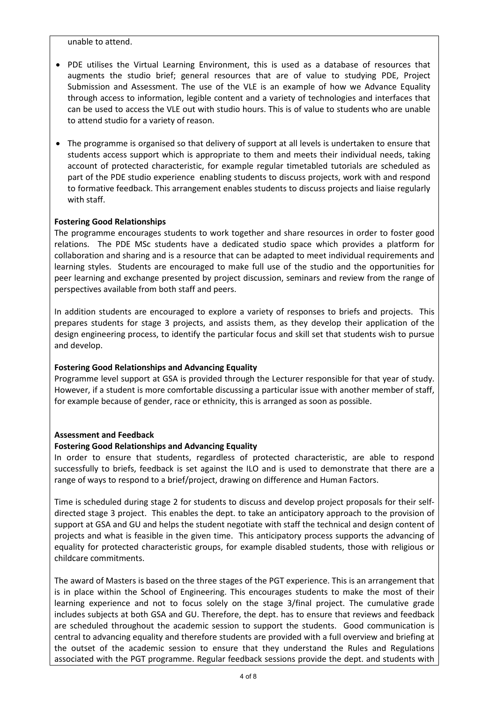unable to attend.

- PDE utilises the Virtual Learning Environment, this is used as a database of resources that augments the studio brief; general resources that are of value to studying PDE, Project Submission and Assessment. The use of the VLE is an example of how we Advance Equality through access to information, legible content and a variety of technologies and interfaces that can be used to access the VLE out with studio hours. This is of value to students who are unable to attend studio for a variety of reason.
- The programme is organised so that delivery of support at all levels is undertaken to ensure that students access support which is appropriate to them and meets their individual needs, taking account of protected characteristic, for example regular timetabled tutorials are scheduled as part of the PDE studio experience enabling students to discuss projects, work with and respond to formative feedback. This arrangement enables students to discuss projects and liaise regularly with staff.

### **Fostering Good Relationships**

The programme encourages students to work together and share resources in order to foster good relations. The PDE MSc students have a dedicated studio space which provides a platform for collaboration and sharing and is a resource that can be adapted to meet individual requirements and learning styles. Students are encouraged to make full use of the studio and the opportunities for peer learning and exchange presented by project discussion, seminars and review from the range of perspectives available from both staff and peers.

In addition students are encouraged to explore a variety of responses to briefs and projects. This prepares students for stage 3 projects, and assists them, as they develop their application of the design engineering process, to identify the particular focus and skill set that students wish to pursue and develop.

#### **Fostering Good Relationships and Advancing Equality**

Programme level support at GSA is provided through the Lecturer responsible for that year of study. However, if a student is more comfortable discussing a particular issue with another member of staff, for example because of gender, race or ethnicity, this is arranged as soon as possible.

#### **Assessment and Feedback**

#### **Fostering Good Relationships and Advancing Equality**

In order to ensure that students, regardless of protected characteristic, are able to respond successfully to briefs, feedback is set against the ILO and is used to demonstrate that there are a range of ways to respond to a brief/project, drawing on difference and Human Factors.

Time is scheduled during stage 2 for students to discuss and develop project proposals for their selfdirected stage 3 project. This enables the dept. to take an anticipatory approach to the provision of support at GSA and GU and helps the student negotiate with staff the technical and design content of projects and what is feasible in the given time. This anticipatory process supports the advancing of equality for protected characteristic groups, for example disabled students, those with religious or childcare commitments.

The award of Masters is based on the three stages of the PGT experience. This is an arrangement that is in place within the School of Engineering. This encourages students to make the most of their learning experience and not to focus solely on the stage 3/final project. The cumulative grade includes subjects at both GSA and GU. Therefore, the dept. has to ensure that reviews and feedback are scheduled throughout the academic session to support the students. Good communication is central to advancing equality and therefore students are provided with a full overview and briefing at the outset of the academic session to ensure that they understand the Rules and Regulations associated with the PGT programme. Regular feedback sessions provide the dept. and students with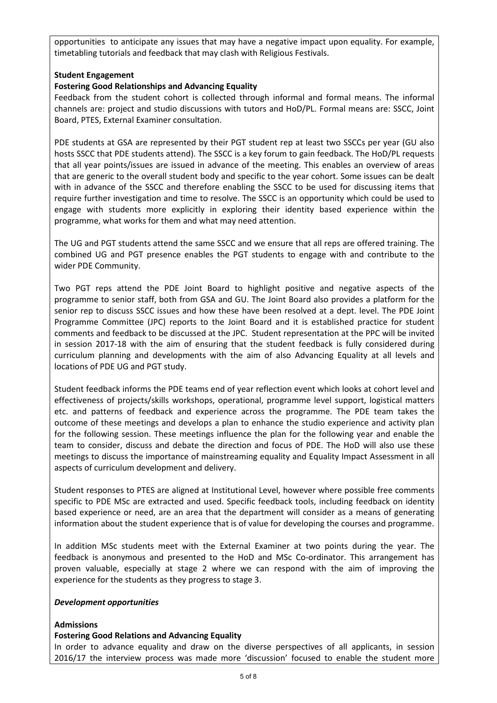opportunities to anticipate any issues that may have a negative impact upon equality. For example, timetabling tutorials and feedback that may clash with Religious Festivals.

### **Student Engagement**

### **Fostering Good Relationships and Advancing Equality**

Feedback from the student cohort is collected through informal and formal means. The informal channels are: project and studio discussions with tutors and HoD/PL. Formal means are: SSCC, Joint Board, PTES, External Examiner consultation.

PDE students at GSA are represented by their PGT student rep at least two SSCCs per year (GU also hosts SSCC that PDE students attend). The SSCC is a key forum to gain feedback. The HoD/PL requests that all year points/issues are issued in advance of the meeting. This enables an overview of areas that are generic to the overall student body and specific to the year cohort. Some issues can be dealt with in advance of the SSCC and therefore enabling the SSCC to be used for discussing items that require further investigation and time to resolve. The SSCC is an opportunity which could be used to engage with students more explicitly in exploring their identity based experience within the programme, what works for them and what may need attention.

The UG and PGT students attend the same SSCC and we ensure that all reps are offered training. The combined UG and PGT presence enables the PGT students to engage with and contribute to the wider PDE Community.

Two PGT reps attend the PDE Joint Board to highlight positive and negative aspects of the programme to senior staff, both from GSA and GU. The Joint Board also provides a platform for the senior rep to discuss SSCC issues and how these have been resolved at a dept. level. The PDE Joint Programme Committee (JPC) reports to the Joint Board and it is established practice for student comments and feedback to be discussed at the JPC. Student representation at the PPC will be invited in session 2017-18 with the aim of ensuring that the student feedback is fully considered during curriculum planning and developments with the aim of also Advancing Equality at all levels and locations of PDE UG and PGT study.

Student feedback informs the PDE teams end of year reflection event which looks at cohort level and effectiveness of projects/skills workshops, operational, programme level support, logistical matters etc. and patterns of feedback and experience across the programme. The PDE team takes the outcome of these meetings and develops a plan to enhance the studio experience and activity plan for the following session. These meetings influence the plan for the following year and enable the team to consider, discuss and debate the direction and focus of PDE. The HoD will also use these meetings to discuss the importance of mainstreaming equality and Equality Impact Assessment in all aspects of curriculum development and delivery.

Student responses to PTES are aligned at Institutional Level, however where possible free comments specific to PDE MSc are extracted and used. Specific feedback tools, including feedback on identity based experience or need, are an area that the department will consider as a means of generating information about the student experience that is of value for developing the courses and programme.

In addition MSc students meet with the External Examiner at two points during the year. The feedback is anonymous and presented to the HoD and MSc Co-ordinator. This arrangement has proven valuable, especially at stage 2 where we can respond with the aim of improving the experience for the students as they progress to stage 3.

#### *Development opportunities*

#### **Admissions**

#### **Fostering Good Relations and Advancing Equality**

In order to advance equality and draw on the diverse perspectives of all applicants, in session 2016/17 the interview process was made more 'discussion' focused to enable the student more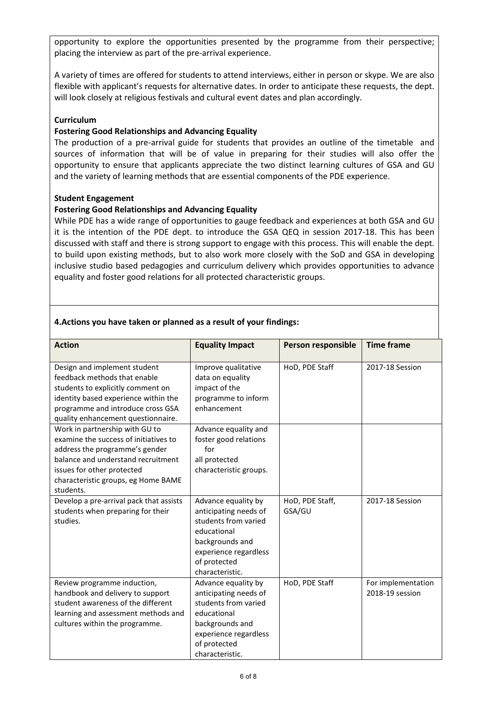opportunity to explore the opportunities presented by the programme from their perspective; placing the interview as part of the pre-arrival experience.

A variety of times are offered for students to attend interviews, either in person or skype. We are also flexible with applicant's requests for alternative dates. In order to anticipate these requests, the dept. will look closely at religious festivals and cultural event dates and plan accordingly.

#### **Curriculum**

### **Fostering Good Relationships and Advancing Equality**

The production of a pre-arrival guide for students that provides an outline of the timetable and sources of information that will be of value in preparing for their studies will also offer the opportunity to ensure that applicants appreciate the two distinct learning cultures of GSA and GU and the variety of learning methods that are essential components of the PDE experience.

#### **Student Engagement**

### **Fostering Good Relationships and Advancing Equality**

While PDE has a wide range of opportunities to gauge feedback and experiences at both GSA and GU it is the intention of the PDE dept. to introduce the GSA QEQ in session 2017-18. This has been discussed with staff and there is strong support to engage with this process. This will enable the dept. to build upon existing methods, but to also work more closely with the SoD and GSA in developing inclusive studio based pedagogies and curriculum delivery which provides opportunities to advance equality and foster good relations for all protected characteristic groups.

| 4. Actions you have taken or planned as a result of your findings: |  |  |
|--------------------------------------------------------------------|--|--|
|--------------------------------------------------------------------|--|--|

| <b>Action</b>                                                                                                                                                                                                                     | <b>Equality Impact</b>                                                                                                                                             | Person responsible        | <b>Time frame</b>                     |
|-----------------------------------------------------------------------------------------------------------------------------------------------------------------------------------------------------------------------------------|--------------------------------------------------------------------------------------------------------------------------------------------------------------------|---------------------------|---------------------------------------|
|                                                                                                                                                                                                                                   |                                                                                                                                                                    |                           |                                       |
| Design and implement student<br>feedback methods that enable<br>students to explicitly comment on<br>identity based experience within the<br>programme and introduce cross GSA<br>quality enhancement questionnaire.              | Improve qualitative<br>data on equality<br>impact of the<br>programme to inform<br>enhancement                                                                     | HoD, PDE Staff            | 2017-18 Session                       |
| Work in partnership with GU to<br>examine the success of initiatives to<br>address the programme's gender<br>balance and understand recruitment<br>issues for other protected<br>characteristic groups, eg Home BAME<br>students. | Advance equality and<br>foster good relations<br>for<br>all protected<br>characteristic groups.                                                                    |                           |                                       |
| Develop a pre-arrival pack that assists<br>students when preparing for their<br>studies.                                                                                                                                          | Advance equality by<br>anticipating needs of<br>students from varied<br>educational<br>backgrounds and<br>experience regardless<br>of protected<br>characteristic. | HoD, PDE Staff,<br>GSA/GU | 2017-18 Session                       |
| Review programme induction,<br>handbook and delivery to support<br>student awareness of the different<br>learning and assessment methods and<br>cultures within the programme.                                                    | Advance equality by<br>anticipating needs of<br>students from varied<br>educational<br>backgrounds and<br>experience regardless<br>of protected<br>characteristic. | HoD, PDE Staff            | For implementation<br>2018-19 session |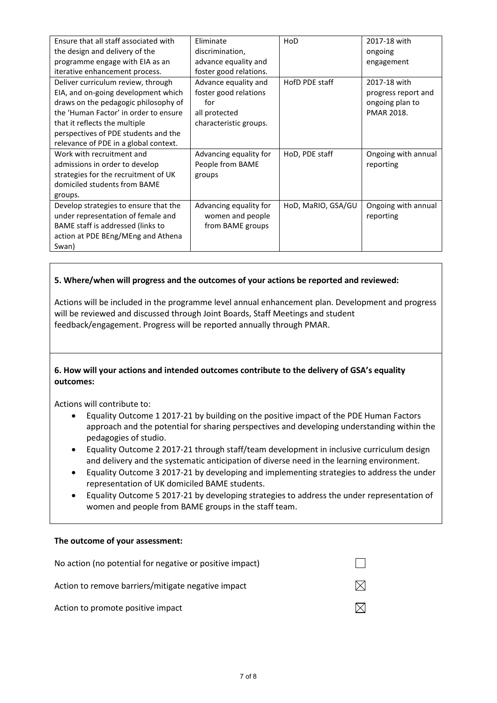| Ensure that all staff associated with | Fliminate              | HoD                | 2017-18 with        |
|---------------------------------------|------------------------|--------------------|---------------------|
| the design and delivery of the        | discrimination,        |                    | ongoing             |
| programme engage with EIA as an       | advance equality and   |                    | engagement          |
| iterative enhancement process.        | foster good relations. |                    |                     |
| Deliver curriculum review, through    | Advance equality and   | HofD PDE staff     | 2017-18 with        |
| EIA, and on-going development which   | foster good relations  |                    | progress report and |
| draws on the pedagogic philosophy of  | for                    |                    | ongoing plan to     |
| the 'Human Factor' in order to ensure | all protected          |                    | <b>PMAR 2018.</b>   |
| that it reflects the multiple         | characteristic groups. |                    |                     |
| perspectives of PDE students and the  |                        |                    |                     |
| relevance of PDE in a global context. |                        |                    |                     |
| Work with recruitment and             | Advancing equality for | HoD, PDE staff     | Ongoing with annual |
| admissions in order to develop        | People from BAME       |                    | reporting           |
| strategies for the recruitment of UK  | groups                 |                    |                     |
| domiciled students from BAME          |                        |                    |                     |
| groups.                               |                        |                    |                     |
| Develop strategies to ensure that the | Advancing equality for | HoD, MaRIO, GSA/GU | Ongoing with annual |
| under representation of female and    | women and people       |                    | reporting           |
| BAME staff is addressed (links to     | from BAME groups       |                    |                     |
| action at PDE BEng/MEng and Athena    |                        |                    |                     |
| Swan)                                 |                        |                    |                     |

### **5. Where/when will progress and the outcomes of your actions be reported and reviewed:**

Actions will be included in the programme level annual enhancement plan. Development and progress will be reviewed and discussed through Joint Boards, Staff Meetings and student feedback/engagement. Progress will be reported annually through PMAR.

### **6. How will your actions and intended outcomes contribute to the delivery of GSA's equality outcomes:**

Actions will contribute to:

- Equality Outcome 1 2017-21 by building on the positive impact of the PDE Human Factors approach and the potential for sharing perspectives and developing understanding within the pedagogies of studio.
- Equality Outcome 2 2017-21 through staff/team development in inclusive curriculum design and delivery and the systematic anticipation of diverse need in the learning environment.
- Equality Outcome 3 2017-21 by developing and implementing strategies to address the under representation of UK domiciled BAME students.
- Equality Outcome 5 2017-21 by developing strategies to address the under representation of women and people from BAME groups in the staff team.

#### **The outcome of your assessment:**

| No action (no potential for negative or positive impact) |  |
|----------------------------------------------------------|--|
| Action to remove barriers/mitigate negative impact       |  |
| Action to promote positive impact                        |  |